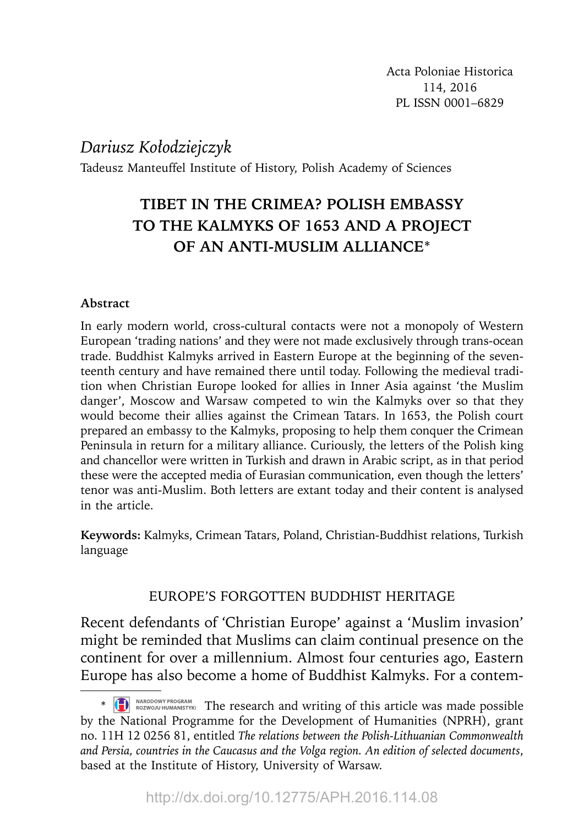*Dariusz Kołodziejczyk*

Tadeusz Manteuffel Institute of History, Polish Academy of Sciences

# **TIBET IN THE CRIMEA? POLISH EMBASSY TO THE KALMYKS OF 1653 AND A PROJECT OF AN ANTI-MUSLIM ALLIANCE**\*

## **Abstract**

In early modern world, cross-cultural contacts were not a monopoly of Western European 'trading nations' and they were not made exclusively through trans-ocean trade. Buddhist Kalmyks arrived in Eastern Europe at the beginning of the seventeenth century and have remained there until today. Following the medieval tradition when Christian Europe looked for allies in Inner Asia against 'the Muslim danger', Moscow and Warsaw competed to win the Kalmyks over so that they would become their allies against the Crimean Tatars. In 1653, the Polish court prepared an embassy to the Kalmyks, proposing to help them conquer the Crimean Peninsula in return for a military alliance. Curiously, the letters of the Polish king and chancellor were written in Turkish and drawn in Arabic script, as in that period these were the accepted media of Eurasian communication, even though the letters' tenor was anti-Muslim. Both letters are extant today and their content is analysed in the article.

**Keywords:** Kalmyks, Crimean Tatars, Poland, Christian-Buddhist relations, Turkish language

# EUROPE'S FORGOTTEN BUDDHIST HERITAGE

Recent defendants of 'Christian Europe' against a 'Muslim invasion' might be reminded that Muslims can claim continual presence on the continent for over a millennium. Almost four centuries ago, Eastern Europe has also become a home of Buddhist Kalmyks. For a contem-

<sup>\*</sup> The research and writing of this article was made possible by the National Programme for the Development of Humanities (NPRH), grant no. 11H 12 0256 81, entitled *The relations between the Polish-Lithuanian Commonwealth and Persia, countries in the Caucasus and the Volga region. An edition of selected documents*, based at the Institute of History, University of Warsaw.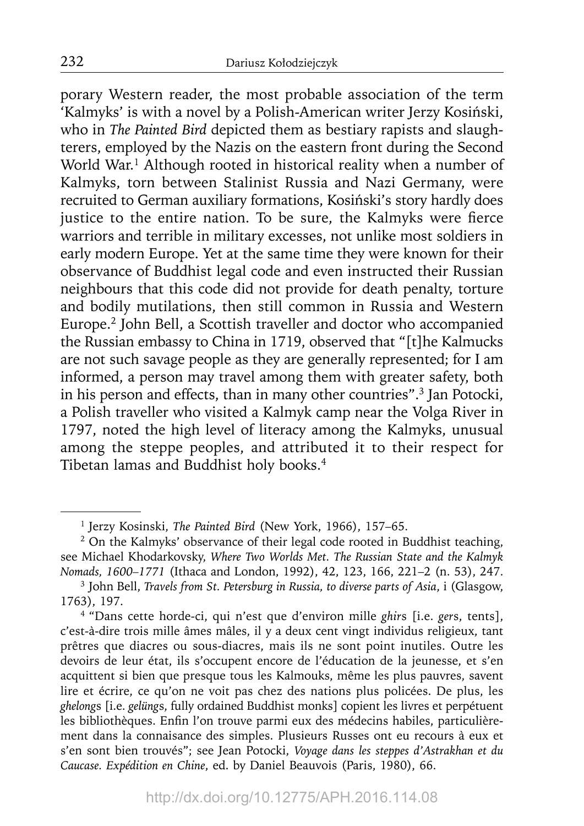porary Western reader, the most probable association of the term 'Kalmyks' is with a novel by a Polish-American writer Jerzy Kosiński, who in *The Painted Bird* depicted them as bestiary rapists and slaughterers, employed by the Nazis on the eastern front during the Second World War.<sup>1</sup> Although rooted in historical reality when a number of Kalmyks, torn between Stalinist Russia and Nazi Germany, were recruited to German auxiliary formations, Kosiński's story hardly does justice to the entire nation. To be sure, the Kalmyks were fierce warriors and terrible in military excesses, not unlike most soldiers in early modern Europe. Yet at the same time they were known for their observance of Buddhist legal code and even instructed their Russian neighbours that this code did not provide for death penalty, torture and bodily mutilations, then still common in Russia and Western Europe.2 John Bell, a Scottish traveller and doctor who accompanied the Russian embassy to China in 1719, observed that "[t]he Kalmucks are not such savage people as they are generally represented; for I am informed, a person may travel among them with greater safety, both in his person and effects, than in many other countries".3 Jan Potocki, a Polish traveller who visited a Kalmyk camp near the Volga River in 1797, noted the high level of literacy among the Kalmyks, unusual among the steppe peoples, and attributed it to their respect for Tibetan lamas and Buddhist holy books.4

<sup>1</sup> Jerzy Kosinski, *The Painted Bird* (New York, 1966), 157–65.

<sup>&</sup>lt;sup>2</sup> On the Kalmyks' observance of their legal code rooted in Buddhist teaching, see Michael Khodarkovsky, *Where Two Worlds Met. The Russian State and the Kalmyk Nomads, 1600–1771* (Ithaca and London, 1992), 42, 123, 166, 221–2 (n. 53), 247.

<sup>3</sup> John Bell, *Travels from St. Petersburg in Russia, to diverse parts of Asia*, i (Glasgow, 1763), 197.

<sup>4 &</sup>quot;Dans cette horde-ci, qui n'est que d'environ mille *ghir*s [i.e. *ger*s, tents], c'est-à-dire trois mille âmes mâles, il y a deux cent vingt individus religieux, tant prêtres que diacres ou sous-diacres, mais ils ne sont point inutiles. Outre les devoirs de leur état, ils s'occupent encore de l'éducation de la jeunesse, et s'en acquittent si bien que presque tous les Kalmouks, même les plus pauvres, savent lire et écrire, ce qu'on ne voit pas chez des nations plus policées. De plus, les *ghelong*s [i.e. *gelüng*s, fully ordained Buddhist monks] copient les livres et perpétuent les bibliothèques. Enfin l'on trouve parmi eux des médecins habiles, particulièrement dans la connaisance des simples. Plusieurs Russes ont eu recours à eux et s'en sont bien trouvés"; see Jean Potocki, *Voyage dans les steppes d'Astrakhan et du Caucase. Expédition en Chine*, ed. by Daniel Beauvois (Paris, 1980), 66.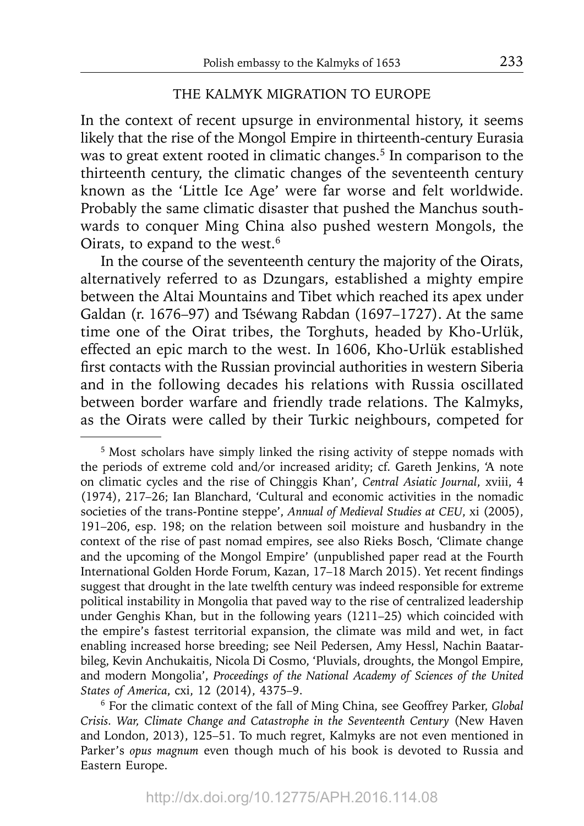#### THE KALMYK MIGRATION TO EUROPE

In the context of recent upsurge in environmental history, it seems likely that the rise of the Mongol Empire in thirteenth-century Eurasia was to great extent rooted in climatic changes.<sup>5</sup> In comparison to the thirteenth century, the climatic changes of the seventeenth century known as the 'Little Ice Age' were far worse and felt worldwide. Probably the same climatic disaster that pushed the Manchus southwards to conquer Ming China also pushed western Mongols, the Oirats, to expand to the west.6

In the course of the seventeenth century the majority of the Oirats, alternatively referred to as Dzungars, established a mighty empire between the Altai Mountains and Tibet which reached its apex under Galdan (r. 1676–97) and Tséwang Rabdan (1697–1727). At the same time one of the Oirat tribes, the Torghuts, headed by Kho-Urlük, effected an epic march to the west. In 1606, Kho-Urlük established first contacts with the Russian provincial authorities in western Siberia and in the following decades his relations with Russia oscillated between border warfare and friendly trade relations. The Kalmyks, as the Oirats were called by their Turkic neighbours, competed for

<sup>&</sup>lt;sup>5</sup> Most scholars have simply linked the rising activity of steppe nomads with the periods of extreme cold and/or increased aridity; cf. Gareth Jenkins, 'A note on climatic cycles and the rise of Chinggis Khan', *Central Asiatic Journal*, xviii, 4 (1974), 217–26; Ian Blanchard, 'Cultural and economic activities in the nomadic societies of the trans-Pontine steppe', *Annual of Medieval Studies at CEU*, xi (2005), 191–206, esp. 198; on the relation between soil moisture and husbandry in the context of the rise of past nomad empires, see also Rieks Bosch, 'Climate change and the upcoming of the Mongol Empire' (unpublished paper read at the Fourth International Golden Horde Forum, Kazan, 17-18 March 2015). Yet recent findings suggest that drought in the late twelfth century was indeed responsible for extreme political instability in Mongolia that paved way to the rise of centralized leadership under Genghis Khan, but in the following years (1211–25) which coincided with the empire's fastest territorial expansion, the climate was mild and wet, in fact enabling increased horse breeding; see Neil Pedersen, Amy Hessl, Nachin Baatarbileg, Kevin Anchukaitis, Nicola Di Cosmo, 'Pluvials, droughts, the Mongol Empire, and modern Mongolia', *Proceedings of the National Academy of Sciences of the United States of America*, cxi, 12 (2014), 4375–9.

<sup>6</sup> For the climatic context of the fall of Ming China, see Geoffrey Parker, *Global Crisis. War, Climate Change and Catastrophe in the Seventeenth Century* (New Haven and London, 2013), 125–51. To much regret, Kalmyks are not even mentioned in Parker's *opus magnum* even though much of his book is devoted to Russia and Eastern Europe.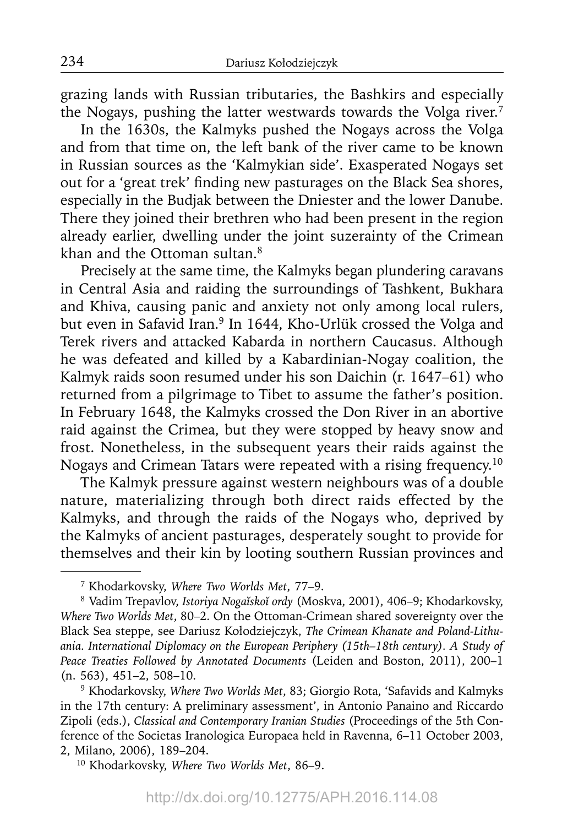grazing lands with Russian tributaries, the Bashkirs and especially the Nogays, pushing the latter westwards towards the Volga river.<sup>7</sup>

In the 1630s, the Kalmyks pushed the Nogays across the Volga and from that time on, the left bank of the river came to be known in Russian sources as the 'Kalmykian side'. Exasperated Nogays set out for a 'great trek' finding new pasturages on the Black Sea shores, especially in the Budjak between the Dniester and the lower Danube. There they joined their brethren who had been present in the region already earlier, dwelling under the joint suzerainty of the Crimean khan and the Ottoman sultan.<sup>8</sup>

Precisely at the same time, the Kalmyks began plundering caravans in Central Asia and raiding the surroundings of Tashkent, Bukhara and Khiva, causing panic and anxiety not only among local rulers, but even in Safavid Iran.<sup>9</sup> In 1644, Kho-Urlük crossed the Volga and Terek rivers and attacked Kabarda in northern Caucasus. Although he was defeated and killed by a Kabardinian-Nogay coalition, the Kalmyk raids soon resumed under his son Daichin (r. 1647–61) who returned from a pilgrimage to Tibet to assume the father's position. In February 1648, the Kalmyks crossed the Don River in an abortive raid against the Crimea, but they were stopped by heavy snow and frost. Nonetheless, in the subsequent years their raids against the Nogays and Crimean Tatars were repeated with a rising frequency.10

The Kalmyk pressure against western neighbours was of a double nature, materializing through both direct raids effected by the Kalmyks, and through the raids of the Nogays who, deprived by the Kalmyks of ancient pasturages, desperately sought to provide for themselves and their kin by looting southern Russian provinces and

10 Khodarkovsky, *Where Two Worlds Met*, 86–9.

<sup>7</sup> Khodarkovsky, *Where Two Worlds Met*, 77–9.

<sup>8</sup> Vadim Trepavlov, *Istoriya Nogaĭskoĭ ordy* (Moskva, 2001), 406–9; Khodarkovsky, *Where Two Worlds Met*, 80–2. On the Ottoman-Crimean shared sovereignty over the Black Sea steppe, see Dariusz Kołodziejczyk, *The Crimean Khanate and Poland-Lithuania. International Diplomacy on the European Periphery (15th–18th century). A Study of Peace Treaties Followed by Annotated Documents* (Leiden and Boston, 2011), 200–1 (n. 563), 451–2, 508–10.

<sup>9</sup> Khodarkovsky, *Where Two Worlds Met*, 83; Giorgio Rota, 'Safavids and Kalmyks in the 17th century: A preliminary assessment', in Antonio Panaino and Riccardo Zipoli (eds.), *Classical and Contemporary Iranian Studies* (Proceedings of the 5th Conference of the Societas Iranologica Europaea held in Ravenna, 6–11 October 2003, 2, Milano, 2006), 189–204.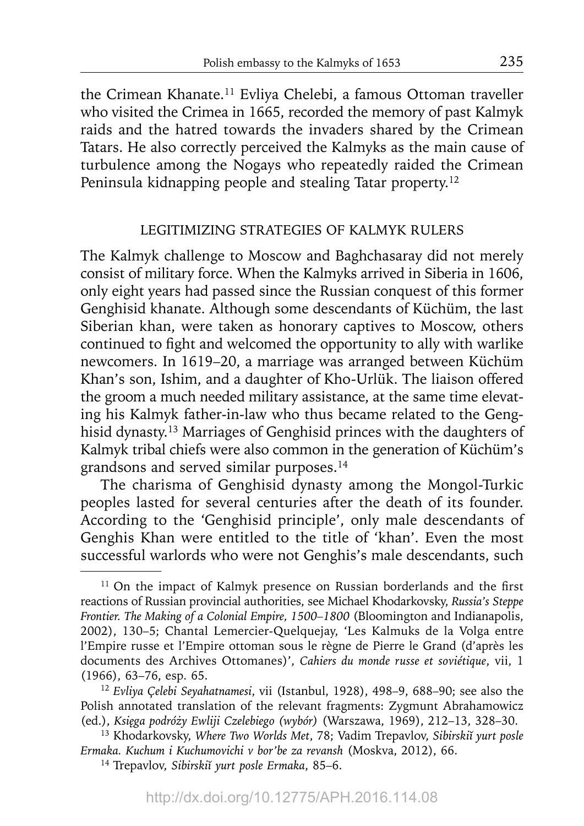the Crimean Khanate.11 Evliya Chelebi, a famous Ottoman traveller who visited the Crimea in 1665, recorded the memory of past Kalmyk raids and the hatred towards the invaders shared by the Crimean Tatars. He also correctly perceived the Kalmyks as the main cause of turbulence among the Nogays who repeatedly raided the Crimean Peninsula kidnapping people and stealing Tatar property.12

## LEGITIMIZING STRATEGIES OF KALMYK RULERS

The Kalmyk challenge to Moscow and Baghchasaray did not merely consist of military force. When the Kalmyks arrived in Siberia in 1606, only eight years had passed since the Russian conquest of this former Genghisid khanate. Although some descendants of Küchüm, the last Siberian khan, were taken as honorary captives to Moscow, others continued to fight and welcomed the opportunity to ally with warlike newcomers. In 1619–20, a marriage was arranged between Küchüm Khan's son, Ishim, and a daughter of Kho-Urlük. The liaison offered the groom a much needed military assistance, at the same time elevating his Kalmyk father-in-law who thus became related to the Genghisid dynasty.13 Marriages of Genghisid princes with the daughters of Kalmyk tribal chiefs were also common in the generation of Küchüm's grandsons and served similar purposes.14

The charisma of Genghisid dynasty among the Mongol-Turkic peoples lasted for several centuries after the death of its founder. According to the 'Genghisid principle', only male descendants of Genghis Khan were entitled to the title of 'khan'. Even the most successful warlords who were not Genghis's male descendants, such

 $11$  On the impact of Kalmyk presence on Russian borderlands and the first reactions of Russian provincial authorities, see Michael Khodarkovsky, *Russia's Steppe Frontier. The Making of a Colonial Empire, 1500–1800* (Bloomington and Indianapolis, 2002), 130–5; Chantal Lemercier-Quelquejay, 'Les Kalmuks de la Volga entre l'Empire russe et l'Empire ottoman sous le règne de Pierre le Grand (d'après les documents des Archives Ottomanes)', *Cahiers du monde russe et soviétique*, vii, 1 (1966), 63–76, esp. 65.

<sup>12</sup>*Evliya Çelebi Seyahatnamesi*, vii (Istanbul, 1928), 498–9, 688–90; see also the Polish annotated translation of the relevant fragments: Zygmunt Abrahamowicz (ed.), *Księga podróży Ewliji Czelebiego (wybór)* (Warszawa, 1969), 212–13, 328–30.

<sup>13</sup> Khodarkovsky, *Where Two Worlds Met*, 78; Vadim Trepavlov, *Sibirskiĭ yurt posle Ermaka. Kuchum i Kuchumovichi v bor'be za revansh* (Moskva, 2012), 66.

<sup>14</sup> Trepavlov, *Sibirskiĭ yurt posle Ermaka*, 85–6.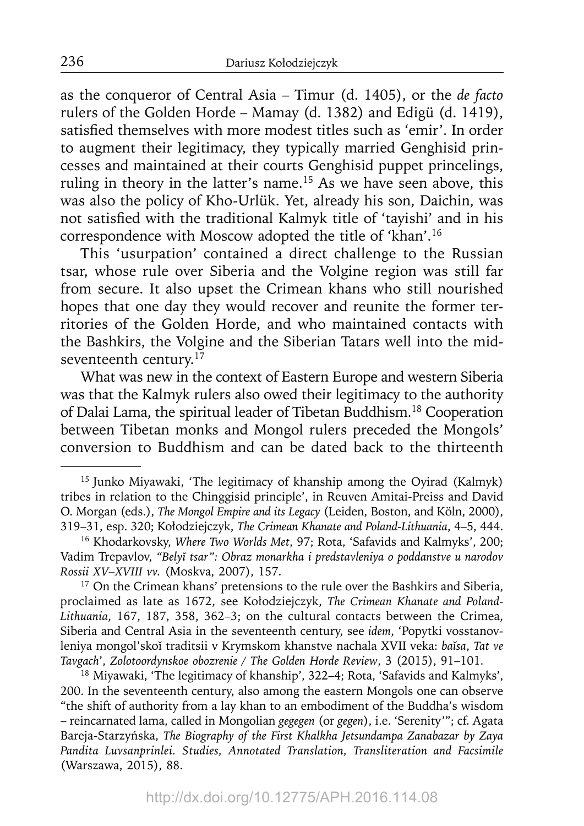as the conqueror of Central Asia – Timur (d. 1405), or the *de facto* rulers of the Golden Horde – Mamay (d. 1382) and Edigü (d. 1419), satisfied themselves with more modest titles such as 'emir'. In order to augment their legitimacy, they typically married Genghisid princesses and maintained at their courts Genghisid puppet princelings, ruling in theory in the latter's name.<sup>15</sup> As we have seen above, this was also the policy of Kho-Urlük. Yet, already his son, Daichin, was not satisfied with the traditional Kalmyk title of 'tayishi' and in his correspondence with Moscow adopted the title of 'khan'.16

This 'usurpation' contained a direct challenge to the Russian tsar, whose rule over Siberia and the Volgine region was still far from secure. It also upset the Crimean khans who still nourished hopes that one day they would recover and reunite the former territories of the Golden Horde, and who maintained contacts with the Bashkirs, the Volgine and the Siberian Tatars well into the midseventeenth century.<sup>17</sup>

What was new in the context of Eastern Europe and western Siberia was that the Kalmyk rulers also owed their legitimacy to the authority of Dalai Lama, the spiritual leader of Tibetan Buddhism.18 Cooperation between Tibetan monks and Mongol rulers preceded the Mongols' conversion to Buddhism and can be dated back to the thirteenth

<sup>17</sup> On the Crimean khans' pretensions to the rule over the Bashkirs and Siberia, proclaimed as late as 1672, see Kołodziejczyk, *The Crimean Khanate and Poland-Lithuania*, 167, 187, 358, 362–3; on the cultural contacts between the Crimea, Siberia and Central Asia in the seventeenth century, see *idem*, 'Popytki vosstanovleniya mongol'skoĭ traditsii v Krymskom khanstve nachala XVII veka: *baĭsa*, *Tat ve Tavgach*', *Zolotoordynskoe obozrenie / The Golden Horde Review*, 3 (2015), 91–101.

18 Miyawaki, 'The legitimacy of khanship', 322–4; Rota, 'Safavids and Kalmyks', 200. In the seventeenth century, also among the eastern Mongols one can observe "the shift of authority from a lay khan to an embodiment of the Buddha's wisdom – reincarnated lama, called in Mongolian *gegegen* (or *gegen*), i.e. 'Serenity'"; cf. Agata Bareja-Starzyńska, *The Biography of the First Khalkha Jetsundampa Zanabazar by Zaya Pandita Luvsanprinlei. Studies, Annotated Translation, Transliteration and Facsimile* (Warszawa, 2015), 88.

<sup>15</sup> Junko Miyawaki, 'The legitimacy of khanship among the Oyirad (Kalmyk) tribes in relation to the Chinggisid principle', in Reuven Amitai-Preiss and David O. Morgan (eds.), *The Mongol Empire and its Legacy* (Leiden, Boston, and Köln, 2000), 319–31, esp. 320; Kołodziejczyk, *The Crimean Khanate and Poland-Lithuania*, 4–5, 444.

<sup>16</sup> Khodarkovsky, *Where Two Worlds Met*, 97; Rota, 'Safavids and Kalmyks', 200; Vadim Trepavlov, *"Belyĭ tsar": Obraz monarkha i predstavleniya o poddanstve u narodov Rossii XV–XVIII vv.* (Moskva, 2007), 157.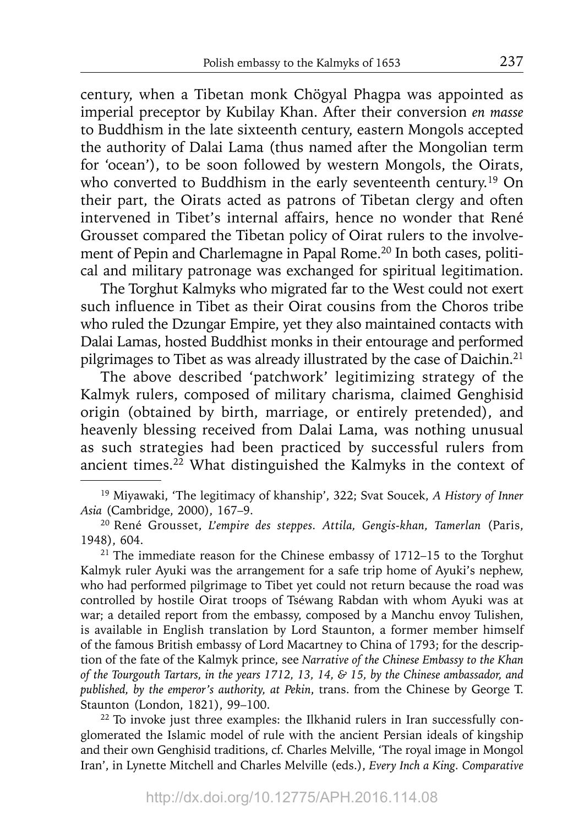century, when a Tibetan monk Chögyal Phagpa was appointed as imperial preceptor by Kubilay Khan. After their conversion *en masse* to Buddhism in the late sixteenth century, eastern Mongols accepted the authority of Dalai Lama (thus named after the Mongolian term for 'ocean'), to be soon followed by western Mongols, the Oirats, who converted to Buddhism in the early seventeenth century.<sup>19</sup> On their part, the Oirats acted as patrons of Tibetan clergy and often intervened in Tibet's internal affairs, hence no wonder that René Grousset compared the Tibetan policy of Oirat rulers to the involvement of Pepin and Charlemagne in Papal Rome.<sup>20</sup> In both cases, political and military patronage was exchanged for spiritual legitimation.

The Torghut Kalmyks who migrated far to the West could not exert such influence in Tibet as their Oirat cousins from the Choros tribe who ruled the Dzungar Empire, yet they also maintained contacts with Dalai Lamas, hosted Buddhist monks in their entourage and performed pilgrimages to Tibet as was already illustrated by the case of Daichin.<sup>21</sup>

The above described 'patchwork' legitimizing strategy of the Kalmyk rulers, composed of military charisma, claimed Genghisid origin (obtained by birth, marriage, or entirely pretended), and heavenly blessing received from Dalai Lama, was nothing unusual as such strategies had been practiced by successful rulers from ancient times.<sup>22</sup> What distinguished the Kalmyks in the context of

 $21$  The immediate reason for the Chinese embassy of 1712–15 to the Torghut Kalmyk ruler Ayuki was the arrangement for a safe trip home of Ayuki's nephew, who had performed pilgrimage to Tibet yet could not return because the road was controlled by hostile Oirat troops of Tséwang Rabdan with whom Ayuki was at war; a detailed report from the embassy, composed by a Manchu envoy Tulishen, is available in English translation by Lord Staunton, a former member himself of the famous British embassy of Lord Macartney to China of 1793; for the description of the fate of the Kalmyk prince, see *Narrative of the Chinese Embassy to the Khan of the Tourgouth Tartars, in the years 1712, 13, 14, & 15, by the Chinese ambassador, and published, by the emperor's authority, at Pekin*, trans. from the Chinese by George T. Staunton (London, 1821), 99–100.

<sup>22</sup> To invoke just three examples: the Ilkhanid rulers in Iran successfully conglomerated the Islamic model of rule with the ancient Persian ideals of kingship and their own Genghisid traditions, cf. Charles Melville, 'The royal image in Mongol Iran', in Lynette Mitchell and Charles Melville (eds.), *Every Inch a King. Comparative* 

<sup>19</sup> Miyawaki, 'The legitimacy of khanship', 322; Svat Soucek, *A History of Inner Asia* (Cambridge, 2000), 167–9.

<sup>20</sup> René Grousset, *L'empire des steppes. Attila, Gengis-khan, Tamerlan* (Paris, 1948), 604.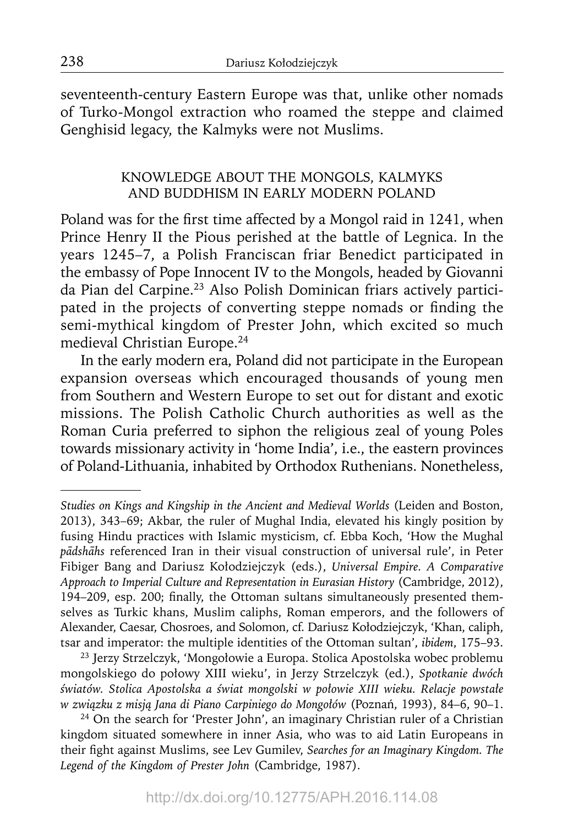seventeenth-century Eastern Europe was that, unlike other nomads of Turko-Mongol extraction who roamed the steppe and claimed Genghisid legacy, the Kalmyks were not Muslims.

# KNOWLEDGE ABOUT THE MONGOLS, KALMYKS AND BUDDHISM IN EARLY MODERN POLAND

Poland was for the first time affected by a Mongol raid in 1241, when Prince Henry II the Pious perished at the battle of Legnica. In the years 1245–7, a Polish Franciscan friar Benedict participated in the embassy of Pope Innocent IV to the Mongols, headed by Giovanni da Pian del Carpine.<sup>23</sup> Also Polish Dominican friars actively participated in the projects of converting steppe nomads or finding the semi-mythical kingdom of Prester John, which excited so much medieval Christian Europe.24

In the early modern era, Poland did not participate in the European expansion overseas which encouraged thousands of young men from Southern and Western Europe to set out for distant and exotic missions. The Polish Catholic Church authorities as well as the Roman Curia preferred to siphon the religious zeal of young Poles towards missionary activity in 'home India', i.e., the eastern provinces of Poland-Lithuania, inhabited by Orthodox Ruthenians. Nonetheless,

23 Jerzy Strzelczyk, 'Mongołowie a Europa. Stolica Apostolska wobec problemu mongolskiego do połowy XIII wieku', in Jerzy Strzelczyk (ed.), *Spotkanie dwóch światów. Stolica Apostolska a świat mongolski w połowie XIII wieku. Relacje powstałe w związku z misją Jana di Piano Carpiniego do Mongołów* (Poznań, 1993), 84–6, 90–1.

<sup>24</sup> On the search for 'Prester John', an imaginary Christian ruler of a Christian kingdom situated somewhere in inner Asia, who was to aid Latin Europeans in their fight against Muslims, see Lev Gumilev, Searches for an Imaginary Kingdom. The *Legend of the Kingdom of Prester John* (Cambridge, 1987).

*Studies on Kings and Kingship in the Ancient and Medieval Worlds* (Leiden and Boston, 2013), 343–69; Akbar, the ruler of Mughal India, elevated his kingly position by fusing Hindu practices with Islamic mysticism, cf. Ebba Koch, 'How the Mughal *pādshāhs* referenced Iran in their visual construction of universal rule', in Peter Fibiger Bang and Dariusz Kołodziejczyk (eds.), *Universal Empire. A Comparative Approach to Imperial Culture and Representation in Eurasian History* (Cambridge, 2012), 194–209, esp. 200; finally, the Ottoman sultans simultaneously presented themselves as Turkic khans, Muslim caliphs, Roman emperors, and the followers of Alexander, Caesar, Chosroes, and Solomon, cf. Dariusz Kołodziejczyk, 'Khan, caliph, tsar and imperator: the multiple identities of the Ottoman sultan', *ibidem*, 175–93.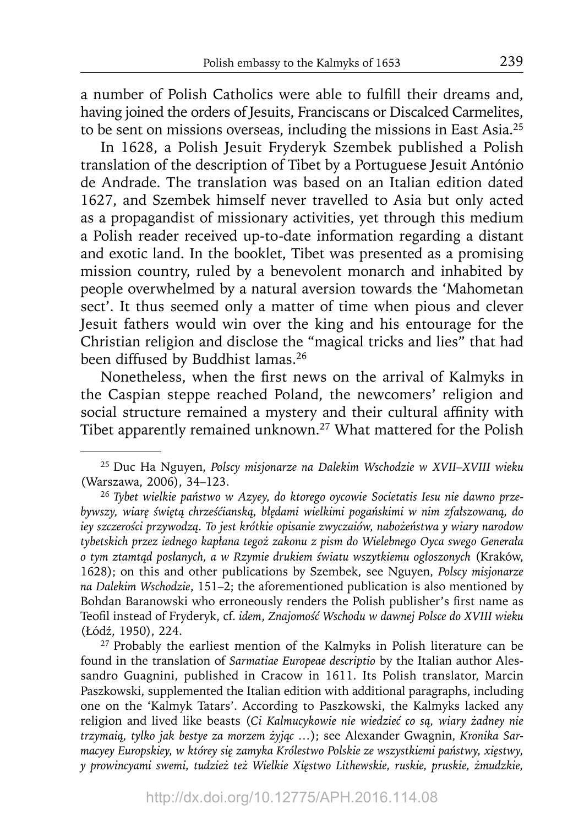a number of Polish Catholics were able to fulfill their dreams and, having joined the orders of Jesuits, Franciscans or Discalced Carmelites, to be sent on missions overseas, including the missions in East Asia.25

In 1628, a Polish Jesuit Fryderyk Szembek published a Polish translation of the description of Tibet by a Portuguese Jesuit António de Andrade. The translation was based on an Italian edition dated 1627, and Szembek himself never travelled to Asia but only acted as a propagandist of missionary activities, yet through this medium a Polish reader received up-to-date information regarding a distant and exotic land. In the booklet, Tibet was presented as a promising mission country, ruled by a benevolent monarch and inhabited by people overwhelmed by a natural aversion towards the 'Mahometan sect'. It thus seemed only a matter of time when pious and clever Jesuit fathers would win over the king and his entourage for the Christian religion and disclose the "magical tricks and lies" that had been diffused by Buddhist lamas.<sup>26</sup>

Nonetheless, when the first news on the arrival of Kalmyks in the Caspian steppe reached Poland, the newcomers' religion and social structure remained a mystery and their cultural affinity with Tibet apparently remained unknown.<sup>27</sup> What mattered for the Polish

<sup>25</sup> Duc Ha Nguyen, *Polscy misjonarze na Dalekim Wschodzie w XVII–XVIII wieku* (Warszawa, 2006), 34–123.

<sup>26</sup> *Tybet wielkie państwo w Azyey, do ktorego oycowie Societatis Iesu nie dawno prze*bywszy, wiarę świętą chrześćianską, błędami wielkimi pogańskimi w nim zfałszowaną, do *iey szczerości przywodzą. To jest krótkie opisanie zwyczaiów, nabożeństwa y wiary narodow tybetskich przez iednego kapłana tegoż zakonu z pism do Wielebnego Oyca swego Generała o tym ztamtąd posłanych, a w Rzymie drukiem światu wszytkiemu ogłoszonych* (Kraków, 1628); on this and other publications by Szembek, see Nguyen, *Polscy misjonarze na Dalekim Wschodzie*, 151–2; the aforementioned publication is also mentioned by Bohdan Baranowski who erroneously renders the Polish publisher's first name as Teofil instead of Fryderyk, cf. *idem, Znajomość Wschodu w dawnej Polsce do XVIII wieku* (Łódź, 1950), 224.

<sup>&</sup>lt;sup>27</sup> Probably the earliest mention of the Kalmyks in Polish literature can be found in the translation of *Sarmatiae Europeae descriptio* by the Italian author Alessandro Guagnini, published in Cracow in 1611. Its Polish translator, Marcin Paszkowski, supplemented the Italian edition with additional paragraphs, including one on the 'Kalmyk Tatars'. According to Paszkowski, the Kalmyks lacked any religion and lived like beasts (*Ci Kalmucykowie nie wiedzieć co są, wiary żadney nie trzymaią, tylko jak bestye za morzem żyjąc …*); see Alexander Gwagnin, *Kronika Sarmacyey Europskiey, w którey się zamyka Królestwo Polskie ze wszystkiemi państwy, xięstwy, y prowincyami swemi, tudzież też Wielkie Xięstwo Lithewskie, ruskie, pruskie, żmudzkie,*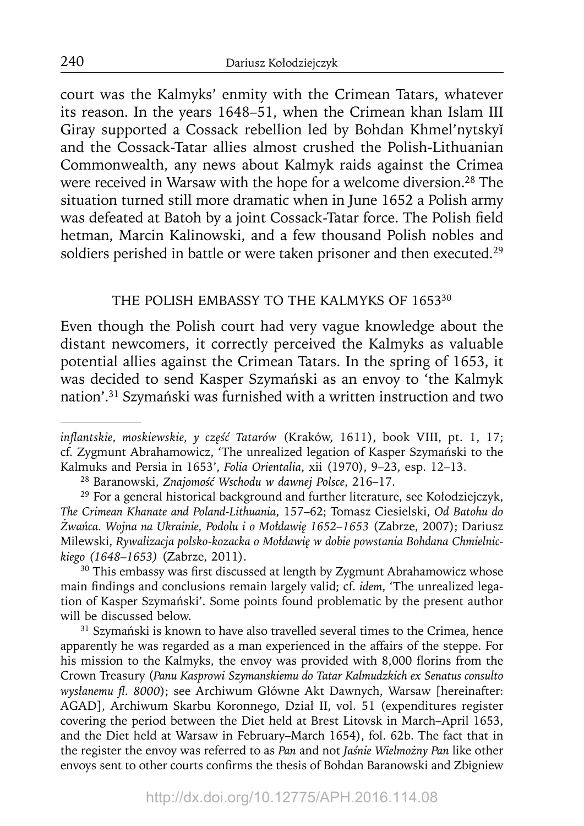court was the Kalmyks' enmity with the Crimean Tatars, whatever its reason. In the years 1648–51, when the Crimean khan Islam III Giray supported a Cossack rebellion led by Bohdan Khmel'nytskyĭ and the Cossack-Tatar allies almost crushed the Polish-Lithuanian Commonwealth, any news about Kalmyk raids against the Crimea were received in Warsaw with the hope for a welcome diversion.28 The situation turned still more dramatic when in June 1652 a Polish army was defeated at Batoh by a joint Cossack-Tatar force. The Polish field hetman, Marcin Kalinowski, and a few thousand Polish nobles and soldiers perished in battle or were taken prisoner and then executed.<sup>29</sup>

## THE POLISH EMBASSY TO THE KALMYKS OF 1653<sup>30</sup>

Even though the Polish court had very vague knowledge about the distant newcomers, it correctly perceived the Kalmyks as valuable potential allies against the Crimean Tatars. In the spring of 1653, it was decided to send Kasper Szymański as an envoy to 'the Kalmyk nation'.31 Szymański was furnished with a written instruction and two

<sup>30</sup> This embassy was first discussed at length by Zygmunt Abrahamowicz whose main findings and conclusions remain largely valid; cf. *idem*, 'The unrealized legation of Kasper Szymański'. Some points found problematic by the present author will be discussed below.

<sup>31</sup> Szymański is known to have also travelled several times to the Crimea, hence apparently he was regarded as a man experienced in the affairs of the steppe. For his mission to the Kalmyks, the envoy was provided with 8,000 florins from the Crown Treasury (*Panu Kasprowi Szymanskiemu do Tatar Kalmudzkich ex Senatus consulto wysłanemu fl . 8000*); see Archiwum Główne Akt Dawnych, Warsaw [hereinafter: AGAD], Archiwum Skarbu Koronnego, Dział II, vol. 51 (expenditures register covering the period between the Diet held at Brest Litovsk in March–April 1653, and the Diet held at Warsaw in February–March 1654), fol. 62b. The fact that in the register the envoy was referred to as *Pan* and not *Jaśnie Wielmożny Pan* like other envoys sent to other courts confirms the thesis of Bohdan Baranowski and Zbigniew

*infl antskie, moskiewskie, y część Tatarów* (Kraków, 1611), book VIII, pt. 1, 17; cf. Zygmunt Abrahamowicz, 'The unrealized legation of Kasper Szymański to the Kalmuks and Persia in 1653', *Folia Orientalia*, xii (1970), 9–23, esp. 12–13.

<sup>28</sup> Baranowski, *Znajomość Wschodu w dawnej Polsce*, 216–17.

<sup>&</sup>lt;sup>29</sup> For a general historical background and further literature, see Kołodziejczyk, *The Crimean Khanate and Poland-Lithuania*, 157–62; Tomasz Ciesielski, *Od Batohu do Żwańca. Wojna na Ukrainie, Podolu i o Mołdawię 1652–1653* (Zabrze, 2007); Dariusz Milewski, *Rywalizacja polsko-kozacka o Mołdawię w dobie powstania Bohdana Chmielnickiego (1648–1653)* (Zabrze, 2011).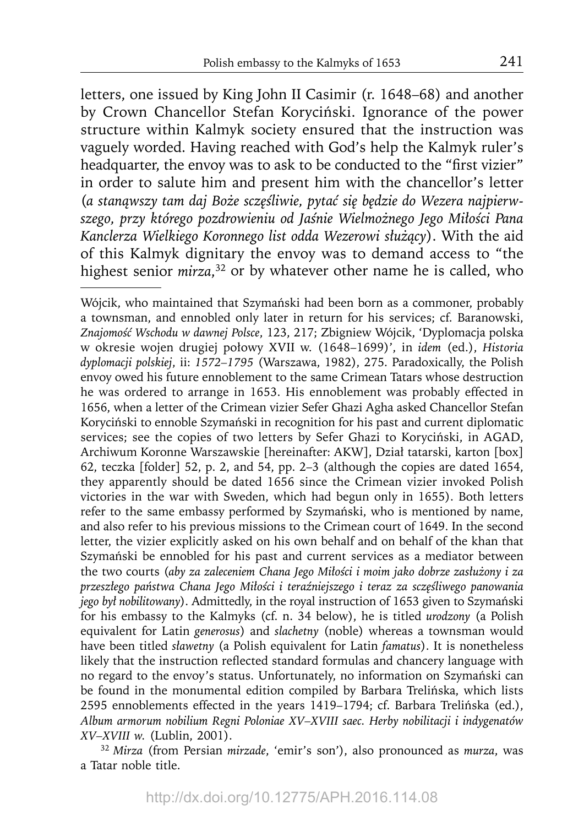letters, one issued by King John II Casimir (r. 1648–68) and another by Crown Chancellor Stefan Koryciński. Ignorance of the power structure within Kalmyk society ensured that the instruction was vaguely worded. Having reached with God's help the Kalmyk ruler's headquarter, the envoy was to ask to be conducted to the "first vizier" in order to salute him and present him with the chancellor's letter (*a stanąwszy tam daj Boże sczęśliwie, pytać się będzie do Wezera najpierwszego, przy którego pozdrowieniu od Jaśnie Wielmożnego Jego Miłości Pana Kanclerza Wielkiego Koronnego list odda Wezerowi służący*). With the aid of this Kalmyk dignitary the envoy was to demand access to "the highest senior *mirza*, 32 or by whatever other name he is called, who

<sup>32</sup>*Mirza* (from Persian *mirzade*, 'emir's son'), also pronounced as *murza*, was a Tatar noble title.

Wójcik, who maintained that Szymański had been born as a commoner, probably a townsman, and ennobled only later in return for his services; cf. Baranowski, *Znajomość Wschodu w dawnej Polsce*, 123, 217; Zbigniew Wójcik, 'Dyplomacja polska w okresie wojen drugiej połowy XVII w. (1648–1699)', in *idem* (ed.), *Historia dyplomacji polskiej*, ii: *1572–1795* (Warszawa, 1982), 275. Paradoxically, the Polish envoy owed his future ennoblement to the same Crimean Tatars whose destruction he was ordered to arrange in 1653. His ennoblement was probably effected in 1656, when a letter of the Crimean vizier Sefer Ghazi Agha asked Chancellor Stefan Koryciński to ennoble Szymański in recognition for his past and current diplomatic services; see the copies of two letters by Sefer Ghazi to Koryciński, in AGAD, Archiwum Koronne Warszawskie [hereinafter: AKW], Dział tatarski, karton [box] 62, teczka [folder] 52, p. 2, and 54, pp. 2–3 (although the copies are dated 1654, they apparently should be dated 1656 since the Crimean vizier invoked Polish victories in the war with Sweden, which had begun only in 1655). Both letters refer to the same embassy performed by Szymański, who is mentioned by name, and also refer to his previous missions to the Crimean court of 1649. In the second letter, the vizier explicitly asked on his own behalf and on behalf of the khan that Szymański be ennobled for his past and current services as a mediator between the two courts (*aby za zaleceniem Chana Jego Miłości i moim jako dobrze zasłużony i za przeszłego państwa Chana Jego Miłości i teraźniejszego i teraz za sczęśliwego panowania jego był nobilitowany*). Admittedly, in the royal instruction of 1653 given to Szymański for his embassy to the Kalmyks (cf. n. 34 below), he is titled *urodzony* (a Polish equivalent for Latin *generosus*) and *slachetny* (noble) whereas a townsman would have been titled *sławetny* (a Polish equivalent for Latin *famatus*). It is nonetheless likely that the instruction reflected standard formulas and chancery language with no regard to the envoy's status. Unfortunately, no information on Szymański can be found in the monumental edition compiled by Barbara Trelińska, which lists 2595 ennoblements effected in the years 1419–1794; cf. Barbara Trelińska (ed.), *Album armorum nobilium Regni Poloniae XV–XVIII saec. Herby nobilitacji i indygenatów XV–XVIII w.* (Lublin, 2001).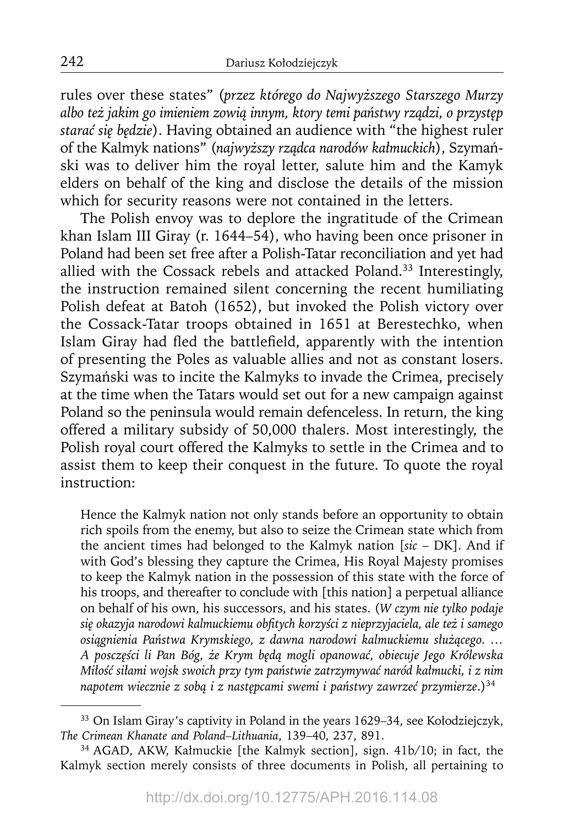rules over these states" (*przez którego do Najwyższego Starszego Murzy albo też jakim go imieniem zowią innym, ktory temi państwy rządzi, o przystęp starać się będzie*). Having obtained an audience with "the highest ruler of the Kalmyk nations" (*najwyższy rządca narodów kałmuckich*), Szymański was to deliver him the royal letter, salute him and the Kamyk elders on behalf of the king and disclose the details of the mission which for security reasons were not contained in the letters.

The Polish envoy was to deplore the ingratitude of the Crimean khan Islam III Giray (r. 1644–54), who having been once prisoner in Poland had been set free after a Polish-Tatar reconciliation and yet had allied with the Cossack rebels and attacked Poland.33 Interestingly, the instruction remained silent concerning the recent humiliating Polish defeat at Batoh (1652), but invoked the Polish victory over the Cossack-Tatar troops obtained in 1651 at Berestechko, when Islam Giray had fled the battlefield, apparently with the intention of presenting the Poles as valuable allies and not as constant losers. Szymański was to incite the Kalmyks to invade the Crimea, precisely at the time when the Tatars would set out for a new campaign against Poland so the peninsula would remain defenceless. In return, the king offered a military subsidy of 50,000 thalers. Most interestingly, the Polish royal court offered the Kalmyks to settle in the Crimea and to assist them to keep their conquest in the future. To quote the royal instruction:

Hence the Kalmyk nation not only stands before an opportunity to obtain rich spoils from the enemy, but also to seize the Crimean state which from the ancient times had belonged to the Kalmyk nation [*sic* – DK]. And if with God's blessing they capture the Crimea, His Royal Majesty promises to keep the Kalmyk nation in the possession of this state with the force of his troops, and thereafter to conclude with [this nation] a perpetual alliance on behalf of his own, his successors, and his states. (*W czym nie tylko podaje się okazyja narodowi kalmuckiemu obfi tych korzyści z nieprzyjaciela, ale też i samego osiągnienia Państwa Krymskiego, z dawna narodowi kalmuckiemu służącego. … A posczęści li Pan Bóg, że Krym będą mogli opanować, obiecuje Jego Królewska Miłość siłami wojsk swoich przy tym państwie zatrzymywać naród kałmucki, i z nim napotem wiecznie z sobą i z następcami swemi i państwy zawrzeć przymierze*.)34

<sup>33</sup> On Islam Giray's captivity in Poland in the years 1629–34, see Kołodziejczyk, *The Crimean Khanate and Poland–Lithuania*, 139–40, 237, 891.

<sup>34</sup> AGAD, AKW, Kałmuckie [the Kalmyk section], sign. 41b/10; in fact, the Kalmyk section merely consists of three documents in Polish, all pertaining to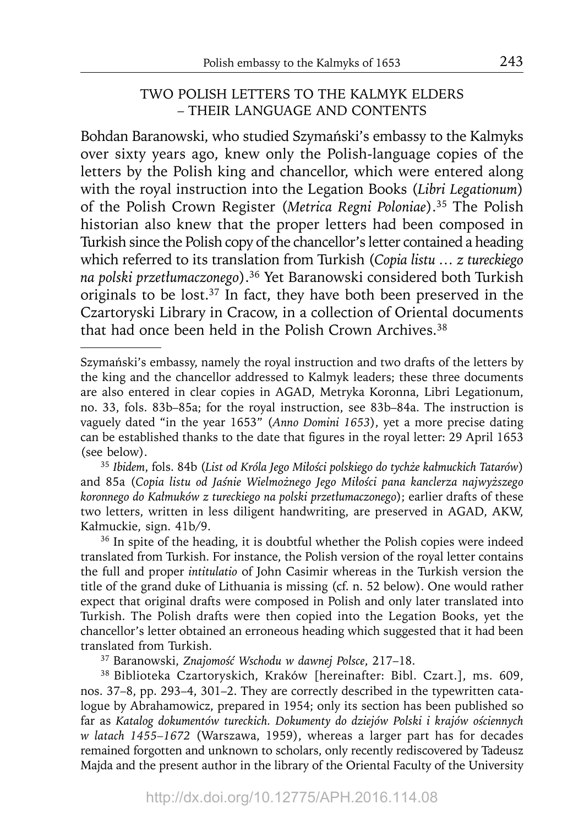## TWO POLISH LETTERS TO THE KALMYK ELDERS – THEIR LANGUAGE AND CONTENTS

Bohdan Baranowski, who studied Szymański's embassy to the Kalmyks over sixty years ago, knew only the Polish-language copies of the letters by the Polish king and chancellor, which were entered along with the royal instruction into the Legation Books (*Libri Legationum*) of the Polish Crown Register (*Metrica Regni Poloniae*).35 The Polish historian also knew that the proper letters had been composed in Turkish since the Polish copy of the chancellor's letter contained a heading which referred to its translation from Turkish (Copia listu ... *z tureckiego na polski przetłumaczonego*).36 Yet Baranowski considered both Turkish originals to be lost. $37$  In fact, they have both been preserved in the Czartoryski Library in Cracow, in a collection of Oriental documents that had once been held in the Polish Crown Archives.<sup>38</sup>

<sup>35</sup>*Ibidem*, fols. 84b (*List od Króla Jego Miłości polskiego do tychże kałmuckich Tatarów*) and 85a (*Copia listu od Jaśnie Wielmożnego Jego Miłości pana kanclerza najwyższego koronnego do Kałmuków z tureckiego na polski przetłumaczonego*); earlier drafts of these two letters, written in less diligent handwriting, are preserved in AGAD, AKW, Kałmuckie, sign. 41b/9.

<sup>36</sup> In spite of the heading, it is doubtful whether the Polish copies were indeed translated from Turkish. For instance, the Polish version of the royal letter contains the full and proper *intitulatio* of John Casimir whereas in the Turkish version the title of the grand duke of Lithuania is missing (cf. n. 52 below). One would rather expect that original drafts were composed in Polish and only later translated into Turkish. The Polish drafts were then copied into the Legation Books, yet the chancellor's letter obtained an erroneous heading which suggested that it had been translated from Turkish.

37 Baranowski, *Znajomość Wschodu w dawnej Polsce*, 217–18.

38 Biblioteka Czartoryskich, Kraków [hereinafter: Bibl. Czart.], ms. 609, nos. 37–8, pp. 293–4, 301–2. They are correctly described in the typewritten catalogue by Abrahamowicz, prepared in 1954; only its section has been published so far as *Katalog dokumentów tureckich. Dokumenty do dziejów Polski i krajów ościennych w latach 1455–1672* (Warszawa, 1959), whereas a larger part has for decades remained forgotten and unknown to scholars, only recently rediscovered by Tadeusz Majda and the present author in the library of the Oriental Faculty of the University

Szymański's embassy, namely the royal instruction and two drafts of the letters by the king and the chancellor addressed to Kalmyk leaders; these three documents are also entered in clear copies in AGAD, Metryka Koronna, Libri Legationum, no. 33, fols. 83b–85a; for the royal instruction, see 83b–84a. The instruction is vaguely dated "in the year 1653" (*Anno Domini 1653*), yet a more precise dating can be established thanks to the date that figures in the royal letter: 29 April 1653 (see below).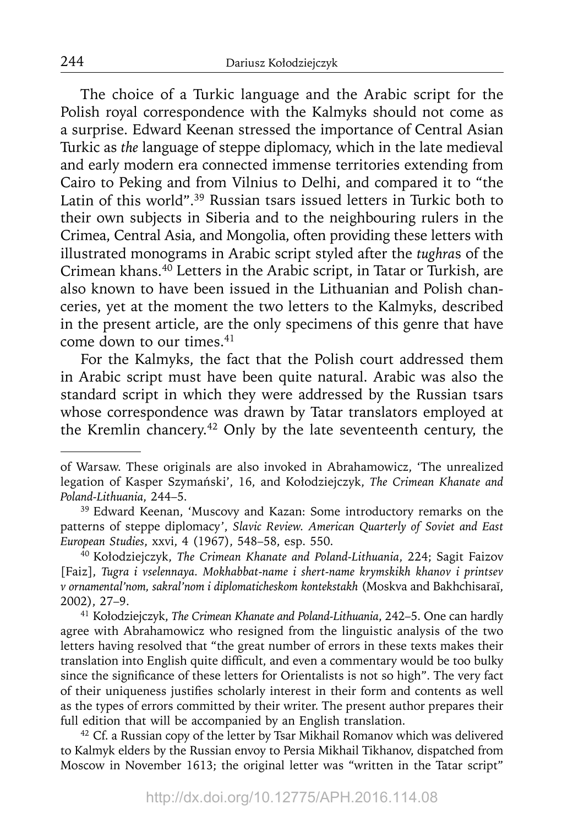The choice of a Turkic language and the Arabic script for the Polish royal correspondence with the Kalmyks should not come as a surprise. Edward Keenan stressed the importance of Central Asian Turkic as *the* language of steppe diplomacy, which in the late medieval and early modern era connected immense territories extending from Cairo to Peking and from Vilnius to Delhi, and compared it to "the Latin of this world".39 Russian tsars issued letters in Turkic both to their own subjects in Siberia and to the neighbouring rulers in the Crimea, Central Asia, and Mongolia, often providing these letters with illustrated monograms in Arabic script styled after the *tughra*s of the Crimean khans. $40$  Letters in the Arabic script, in Tatar or Turkish, are also known to have been issued in the Lithuanian and Polish chanceries, yet at the moment the two letters to the Kalmyks, described in the present article, are the only specimens of this genre that have come down to our times.<sup>41</sup>

For the Kalmyks, the fact that the Polish court addressed them in Arabic script must have been quite natural. Arabic was also the standard script in which they were addressed by the Russian tsars whose correspondence was drawn by Tatar translators employed at the Kremlin chancery.<sup>42</sup> Only by the late seventeenth century, the

of Warsaw. These originals are also invoked in Abrahamowicz, 'The unrealized legation of Kasper Szymański', 16, and Kołodziejczyk, *The Crimean Khanate and Poland-Lithuania*, 244–5.

<sup>&</sup>lt;sup>39</sup> Edward Keenan, 'Muscovy and Kazan: Some introductory remarks on the patterns of steppe diplomacy', *Slavic Review. American Quarterly of Soviet and East European Studies*, xxvi, 4 (1967), 548–58, esp. 550.

<sup>40</sup> Kołodziejczyk, *The Crimean Khanate and Poland-Lithuania*, 224; Sagit Faizov [Faiz], *Tugra i vselennaya. Mokhabbat-name i shert-name krymskikh khanov i printsev v ornamental'nom, sakral'nom i diplomaticheskom kontekstakh* (Moskva and Bakhchisaraĭ, 2002), 27–9.

<sup>41</sup> Kołodziejczyk, *The Crimean Khanate and Poland-Lithuania*, 242–5. One can hardly agree with Abrahamowicz who resigned from the linguistic analysis of the two letters having resolved that "the great number of errors in these texts makes their translation into English quite difficult, and even a commentary would be too bulky since the significance of these letters for Orientalists is not so high". The very fact of their uniqueness justifies scholarly interest in their form and contents as well as the types of errors committed by their writer. The present author prepares their full edition that will be accompanied by an English translation.

<sup>&</sup>lt;sup>42</sup> Cf. a Russian copy of the letter by Tsar Mikhail Romanov which was delivered to Kalmyk elders by the Russian envoy to Persia Mikhail Tikhanov, dispatched from Moscow in November 1613; the original letter was "written in the Tatar script"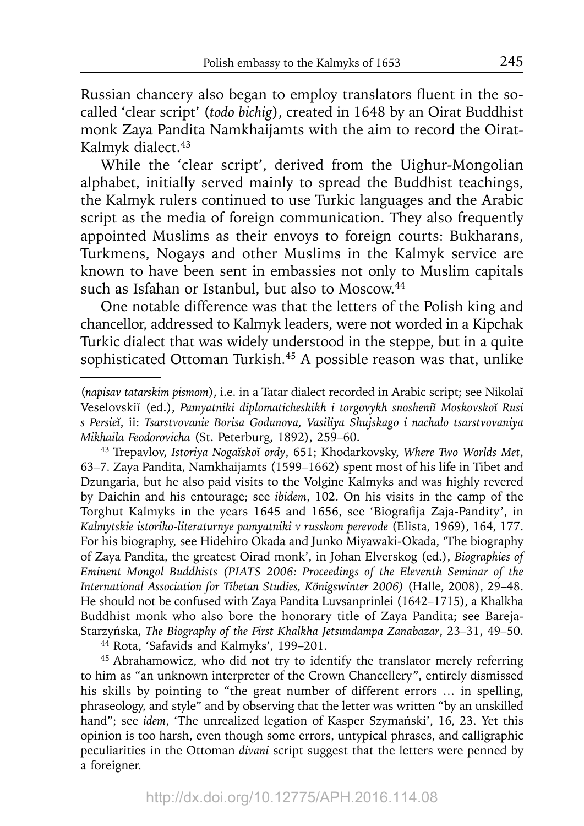Russian chancery also began to employ translators fluent in the socalled 'clear script' (*todo bichig*), created in 1648 by an Oirat Buddhist monk Zaya Pandita Namkhaijamts with the aim to record the Oirat-Kalmyk dialect.<sup>43</sup>

While the 'clear script', derived from the Uighur-Mongolian alphabet, initially served mainly to spread the Buddhist teachings, the Kalmyk rulers continued to use Turkic languages and the Arabic script as the media of foreign communication. They also frequently appointed Muslims as their envoys to foreign courts: Bukharans, Turkmens, Nogays and other Muslims in the Kalmyk service are known to have been sent in embassies not only to Muslim capitals such as Isfahan or Istanbul, but also to Moscow.<sup>44</sup>

One notable difference was that the letters of the Polish king and chancellor, addressed to Kalmyk leaders, were not worded in a Kipchak Turkic dialect that was widely understood in the steppe, but in a quite sophisticated Ottoman Turkish.<sup>45</sup> A possible reason was that, unlike

43 Trepavlov, *Istoriya Nogaĭskoĭ ordy*, 651; Khodarkovsky, *Where Two Worlds Met*, 63–7. Zaya Pandita, Namkhaijamts (1599–1662) spent most of his life in Tibet and Dzungaria, but he also paid visits to the Volgine Kalmyks and was highly revered by Daichin and his entourage; see *ibidem*, 102. On his visits in the camp of the Torghut Kalmyks in the years 1645 and 1656, see 'Biografija Zaja-Pandity', in *Kalmytskie istoriko-literaturnye pamyatniki v russkom perevode* (Elista, 1969), 164, 177. For his biography, see Hidehiro Okada and Junko Miyawaki-Okada, 'The biography of Zaya Pandita, the greatest Oirad monk', in Johan Elverskog (ed.), *Biographies of Eminent Mongol Buddhists (PIATS 2006: Proceedings of the Eleventh Seminar of the International Association for Tibetan Studies, Königswinter 2006)* (Halle, 2008), 29–48. He should not be confused with Zaya Pandita Luvsanprinlei (1642–1715), a Khalkha Buddhist monk who also bore the honorary title of Zaya Pandita; see Bareja-Starzyńska, *The Biography of the First Khalkha Jetsundampa Zanabazar*, 23–31, 49–50.

44 Rota, 'Safavids and Kalmyks', 199–201.

45 Abrahamowicz, who did not try to identify the translator merely referring to him as "an unknown interpreter of the Crown Chancellery", entirely dismissed his skills by pointing to "the great number of different errors … in spelling, phraseology, and style" and by observing that the letter was written "by an unskilled hand"; see *idem*, 'The unrealized legation of Kasper Szymański', 16, 23. Yet this opinion is too harsh, even though some errors, untypical phrases, and calligraphic peculiarities in the Ottoman *divani* script suggest that the letters were penned by a foreigner.

<sup>(</sup>*napisav tatarskim pismom*), i.e. in a Tatar dialect recorded in Arabic script; see Nikolaĭ Veselovskiĭ (ed.), *Pamyatniki diplomaticheskikh i torgovykh snosheniĭ Moskovskoĭ Rusi s Persieĭ*, ii: *Tsarstvovanie Borisa Godunova, Vasiliya Shujskago i nachalo tsarstvovaniya Mikhaila Feodorovicha* (St. Peterburg, 1892), 259–60.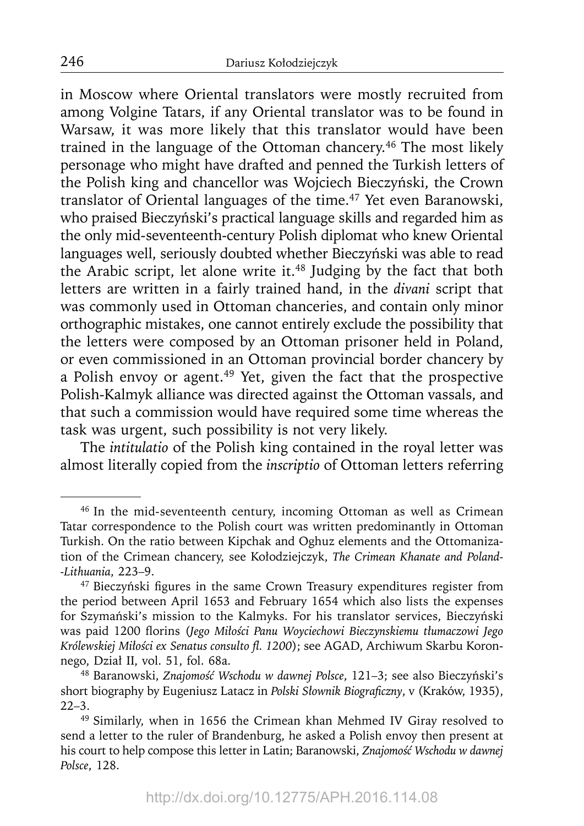in Moscow where Oriental translators were mostly recruited from among Volgine Tatars, if any Oriental translator was to be found in Warsaw, it was more likely that this translator would have been trained in the language of the Ottoman chancery.<sup>46</sup> The most likely personage who might have drafted and penned the Turkish letters of the Polish king and chancellor was Wojciech Bieczyński, the Crown translator of Oriental languages of the time.<sup>47</sup> Yet even Baranowski, who praised Bieczyński's practical language skills and regarded him as the only mid-seventeenth-century Polish diplomat who knew Oriental languages well, seriously doubted whether Bieczyński was able to read the Arabic script, let alone write it.<sup>48</sup> Judging by the fact that both letters are written in a fairly trained hand, in the *divani* script that was commonly used in Ottoman chanceries, and contain only minor orthographic mistakes, one cannot entirely exclude the possibility that the letters were composed by an Ottoman prisoner held in Poland, or even commissioned in an Ottoman provincial border chancery by a Polish envoy or agent.<sup>49</sup> Yet, given the fact that the prospective Polish-Kalmyk alliance was directed against the Ottoman vassals, and that such a commission would have required some time whereas the task was urgent, such possibility is not very likely.

The *intitulatio* of the Polish king contained in the royal letter was almost literally copied from the *inscriptio* of Ottoman letters referring

<sup>46</sup> In the mid-seventeenth century, incoming Ottoman as well as Crimean Tatar correspondence to the Polish court was written predominantly in Ottoman Turkish. On the ratio between Kipchak and Oghuz elements and the Ottomanization of the Crimean chancery, see Kołodziejczyk, *The Crimean Khanate and Poland- -Lithuania*, 223–9.

<sup>&</sup>lt;sup>47</sup> Bieczyński figures in the same Crown Treasury expenditures register from the period between April 1653 and February 1654 which also lists the expenses for Szymański's mission to the Kalmyks. For his translator services, Bieczyński was paid 1200 fl orins (*Jego Miłości Panu Woyciechowi Bieczynskiemu tłumaczowi Jego Królewskiej Miłości ex Senatus consulto fl . 1200*); see AGAD, Archiwum Skarbu Koronnego, Dział II, vol. 51, fol. 68a.

<sup>48</sup> Baranowski, *Znajomość Wschodu w dawnej Polsce*, 121–3; see also Bieczyński's short biography by Eugeniusz Latacz in *Polski Słownik Biografi czny*, v (Kraków, 1935), 22–3.

<sup>49</sup> Similarly, when in 1656 the Crimean khan Mehmed IV Giray resolved to send a letter to the ruler of Brandenburg, he asked a Polish envoy then present at his court to help compose this letter in Latin; Baranowski, *Znajomość Wschodu w dawnej Polsce*, 128.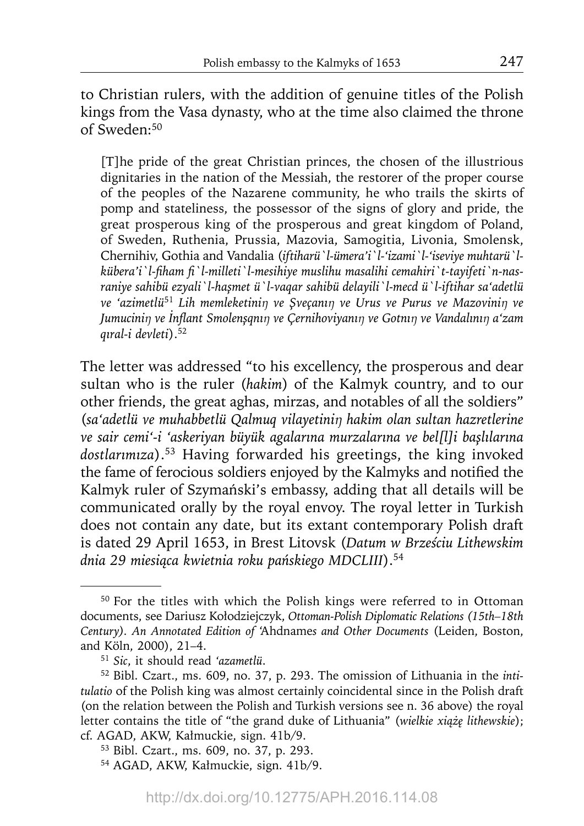to Christian rulers, with the addition of genuine titles of the Polish kings from the Vasa dynasty, who at the time also claimed the throne of Sweden:50

[T]he pride of the great Christian princes, the chosen of the illustrious dignitaries in the nation of the Messiah, the restorer of the proper course of the peoples of the Nazarene community, he who trails the skirts of pomp and stateliness, the possessor of the signs of glory and pride, the great prosperous king of the prosperous and great kingdom of Poland, of Sweden, Ruthenia, Prussia, Mazovia, Samogitia, Livonia, Smolensk, Chernihiv, Gothia and Vandalia (*iftiharü`l-ümera'i`l-'izami`l-'iseviye muhtarü`l*kübera'i 'l-fiham fi 'l-milleti 'l-mesihiye muslihu masalihi cemahiri 't-tayifeti 'n-nas*raniye sahibü ezyali`l-haşmet ü`l-vaqar sahibü delayili`l-mecd ü`l-iftihar sa'adetlü ve 'azimetlü*<sup>51</sup> *Lih memleketiniŋ ve Şveçanıŋ ve Urus ve Purus ve Mazoviniŋ ve Jumuciniŋ ve İnfl ant Smolenşqnıŋ ve Çernihoviyanıŋ ve Gotnıŋ ve Vandalınıŋ a'zam qıral-i devleti*).52

The letter was addressed "to his excellency, the prosperous and dear sultan who is the ruler (*hakim*) of the Kalmyk country, and to our other friends, the great aghas, mirzas, and notables of all the soldiers" (*sa'adetlü ve muhabbetlü Qalmuq vilayetiniŋ hakim olan sultan hazretlerine ve sair cemi'-i 'askeriyan büyük agalarına murzalarına ve bel[l]i başlılarına dostlarımıza*).53 Having forwarded his greetings, the king invoked the fame of ferocious soldiers enjoyed by the Kalmyks and notified the Kalmyk ruler of Szymański's embassy, adding that all details will be communicated orally by the royal envoy. The royal letter in Turkish does not contain any date, but its extant contemporary Polish draft is dated 29 April 1653, in Brest Litovsk (*Datum w Brześciu Lithewskim dnia 29 miesiąca kwietnia roku pańskiego MDCLIII*).54

<sup>50</sup> For the titles with which the Polish kings were referred to in Ottoman documents, see Dariusz Kołodziejczyk, *Ottoman-Polish Diplomatic Relations (15th–18th Century). An Annotated Edition of* 'Ahdname*s and Other Documents* (Leiden, Boston, and Köln, 2000), 21–4.

<sup>51</sup>*Sic*, it should read *'azametlü*.

<sup>52</sup> Bibl. Czart., ms. 609, no. 37, p. 293. The omission of Lithuania in the *intitulatio* of the Polish king was almost certainly coincidental since in the Polish draft (on the relation between the Polish and Turkish versions see n. 36 above) the royal letter contains the title of "the grand duke of Lithuania" (*wielkie xiążę lithewskie*); cf. AGAD, AKW, Kałmuckie, sign. 41b/9.

<sup>53</sup> Bibl. Czart., ms. 609, no. 37, p. 293.

<sup>54</sup> AGAD, AKW, Kałmuckie, sign. 41b/9.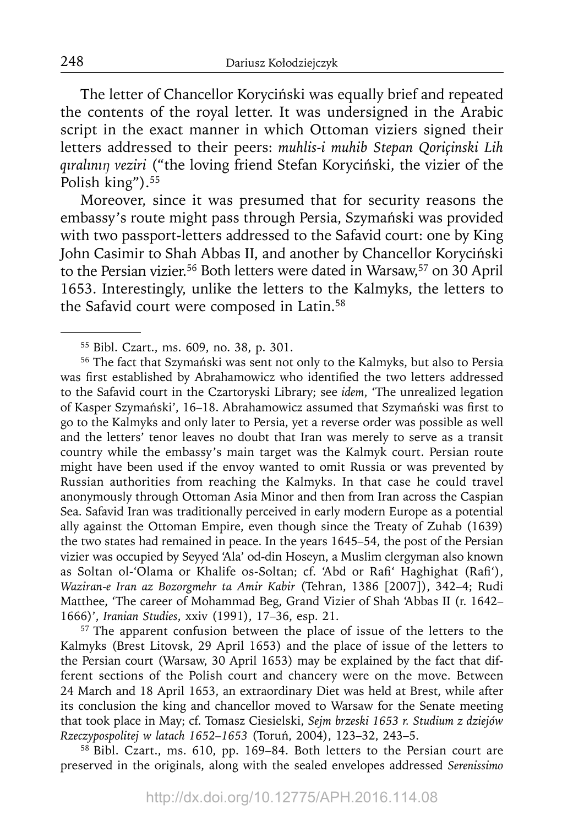The letter of Chancellor Koryciński was equally brief and repeated the contents of the royal letter. It was undersigned in the Arabic script in the exact manner in which Ottoman viziers signed their letters addressed to their peers: *muhlis-i muhib Stepan Qoriçinski Lih qıralınıŋ veziri* ("the loving friend Stefan Koryciński, the vizier of the Polish king").<sup>55</sup>

Moreover, since it was presumed that for security reasons the embassy's route might pass through Persia, Szymański was provided with two passport-letters addressed to the Safavid court: one by King John Casimir to Shah Abbas II, and another by Chancellor Koryciński to the Persian vizier.56 Both letters were dated in Warsaw,57 on 30 April 1653. Interestingly, unlike the letters to the Kalmyks, the letters to the Safavid court were composed in Latin.<sup>58</sup>

56 The fact that Szymański was sent not only to the Kalmyks, but also to Persia was first established by Abrahamowicz who identified the two letters addressed to the Safavid court in the Czartoryski Library; see *idem*, 'The unrealized legation of Kasper Szymański', 16-18. Abrahamowicz assumed that Szymański was first to go to the Kalmyks and only later to Persia, yet a reverse order was possible as well and the letters' tenor leaves no doubt that Iran was merely to serve as a transit country while the embassy's main target was the Kalmyk court. Persian route might have been used if the envoy wanted to omit Russia or was prevented by Russian authorities from reaching the Kalmyks. In that case he could travel anonymously through Ottoman Asia Minor and then from Iran across the Caspian Sea. Safavid Iran was traditionally perceived in early modern Europe as a potential ally against the Ottoman Empire, even though since the Treaty of Zuhab (1639) the two states had remained in peace. In the years 1645–54, the post of the Persian vizier was occupied by Seyyed 'Ala' od-din Hoseyn, a Muslim clergyman also known as Soltan ol-'Olama or Khalife os-Soltan; cf. 'Abd or Rafi' Haghighat (Rafi'), *Waziran-e Iran az Bozorgmehr ta Amir Kabir* (Tehran, 1386 [2007]), 342–4; Rudi Matthee, 'The career of Mohammad Beg, Grand Vizier of Shah 'Abbas II (r. 1642– 1666)', *Iranian Studies*, xxiv (1991), 17–36, esp. 21.

<sup>57</sup> The apparent confusion between the place of issue of the letters to the Kalmyks (Brest Litovsk, 29 April 1653) and the place of issue of the letters to the Persian court (Warsaw, 30 April 1653) may be explained by the fact that different sections of the Polish court and chancery were on the move. Between 24 March and 18 April 1653, an extraordinary Diet was held at Brest, while after its conclusion the king and chancellor moved to Warsaw for the Senate meeting that took place in May; cf. Tomasz Ciesielski, *Sejm brzeski 1653 r. Studium z dziejów Rzeczypospolitej w latach 1652–1653* (Toruń, 2004), 123–32, 243–5.

58 Bibl. Czart., ms. 610, pp. 169–84. Both letters to the Persian court are preserved in the originals, along with the sealed envelopes addressed *Serenissimo* 

<sup>55</sup> Bibl. Czart., ms. 609, no. 38, p. 301.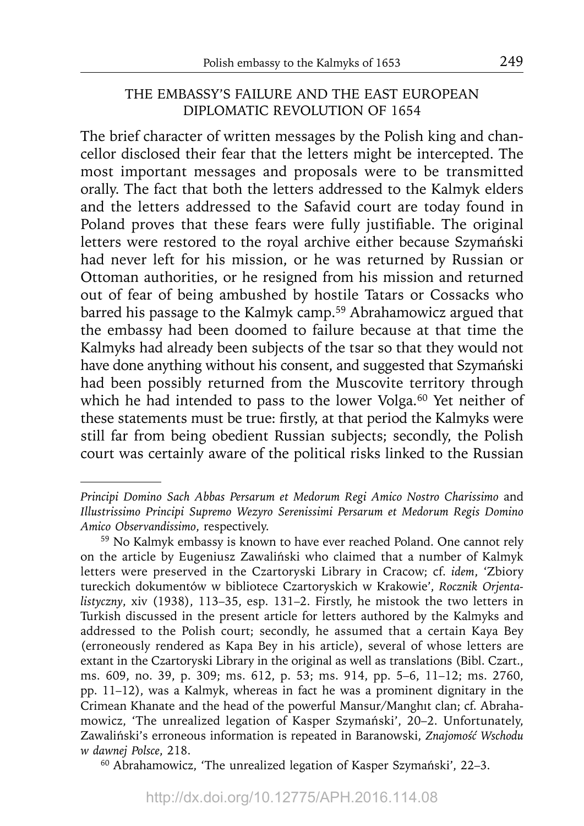## THE EMBASSY'S FAILURE AND THE EAST EUROPEAN DIPLOMATIC REVOLUTION OF 1654

The brief character of written messages by the Polish king and chancellor disclosed their fear that the letters might be intercepted. The most important messages and proposals were to be transmitted orally. The fact that both the letters addressed to the Kalmyk elders and the letters addressed to the Safavid court are today found in Poland proves that these fears were fully justifiable. The original letters were restored to the royal archive either because Szymański had never left for his mission, or he was returned by Russian or Ottoman authorities, or he resigned from his mission and returned out of fear of being ambushed by hostile Tatars or Cossacks who barred his passage to the Kalmyk camp.59 Abrahamowicz argued that the embassy had been doomed to failure because at that time the Kalmyks had already been subjects of the tsar so that they would not have done anything without his consent, and suggested that Szymański had been possibly returned from the Muscovite territory through which he had intended to pass to the lower Volga.<sup>60</sup> Yet neither of these statements must be true: firstly, at that period the Kalmyks were still far from being obedient Russian subjects; secondly, the Polish court was certainly aware of the political risks linked to the Russian

60 Abrahamowicz, 'The unrealized legation of Kasper Szymański', 22–3.

*Principi Domino Sach Abbas Persarum et Medorum Regi Amico Nostro Charissimo* and *Illustrissimo Principi Supremo Wezyro Serenissimi Persarum et Medorum Regis Domino Amico Observandissimo*, respectively.

<sup>59</sup> No Kalmyk embassy is known to have ever reached Poland. One cannot rely on the article by Eugeniusz Zawaliński who claimed that a number of Kalmyk letters were preserved in the Czartoryski Library in Cracow; cf. *idem*, 'Zbiory tureckich dokumentów w bibliotece Czartoryskich w Krakowie', *Rocznik Orjentalistyczny*, xiv (1938), 113–35, esp. 131–2. Firstly, he mistook the two letters in Turkish discussed in the present article for letters authored by the Kalmyks and addressed to the Polish court; secondly, he assumed that a certain Kaya Bey (erroneously rendered as Kapa Bey in his article), several of whose letters are extant in the Czartoryski Library in the original as well as translations (Bibl. Czart., ms. 609, no. 39, p. 309; ms. 612, p. 53; ms. 914, pp. 5–6, 11–12; ms. 2760, pp. 11–12), was a Kalmyk, whereas in fact he was a prominent dignitary in the Crimean Khanate and the head of the powerful Mansur/Manghıt clan; cf. Abrahamowicz, 'The unrealized legation of Kasper Szymański', 20–2. Unfortunately, Zawaliński's erroneous information is repeated in Baranowski, *Znajomość Wschodu w dawnej Polsce*, 218.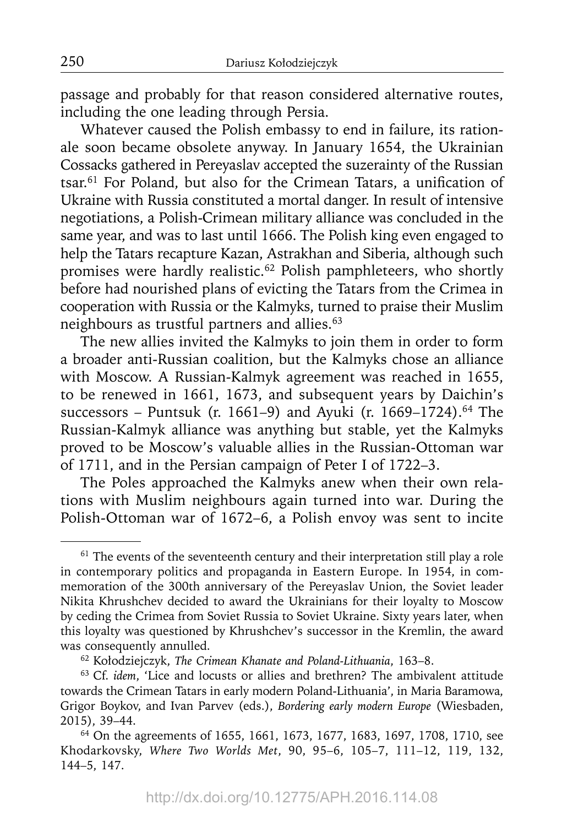passage and probably for that reason considered alternative routes, including the one leading through Persia.

Whatever caused the Polish embassy to end in failure, its rationale soon became obsolete anyway. In January 1654, the Ukrainian Cossacks gathered in Pereyaslav accepted the suzerainty of the Russian tsar.<sup>61</sup> For Poland, but also for the Crimean Tatars, a unification of Ukraine with Russia constituted a mortal danger. In result of intensive negotiations, a Polish-Crimean military alliance was concluded in the same year, and was to last until 1666. The Polish king even engaged to help the Tatars recapture Kazan, Astrakhan and Siberia, although such promises were hardly realistic.62 Polish pamphleteers, who shortly before had nourished plans of evicting the Tatars from the Crimea in cooperation with Russia or the Kalmyks, turned to praise their Muslim neighbours as trustful partners and allies.63

The new allies invited the Kalmyks to join them in order to form a broader anti-Russian coalition, but the Kalmyks chose an alliance with Moscow. A Russian-Kalmyk agreement was reached in 1655, to be renewed in 1661, 1673, and subsequent years by Daichin's successors – Puntsuk (r. 1661–9) and Ayuki (r. 1669–1724).<sup>64</sup> The Russian-Kalmyk alliance was anything but stable, yet the Kalmyks proved to be Moscow's valuable allies in the Russian-Ottoman war of 1711, and in the Persian campaign of Peter I of 1722–3.

The Poles approached the Kalmyks anew when their own relations with Muslim neighbours again turned into war. During the Polish-Ottoman war of 1672–6, a Polish envoy was sent to incite

 $61$  The events of the seventeenth century and their interpretation still play a role in contemporary politics and propaganda in Eastern Europe. In 1954, in commemoration of the 300th anniversary of the Pereyaslav Union, the Soviet leader Nikita Khrushchev decided to award the Ukrainians for their loyalty to Moscow by ceding the Crimea from Soviet Russia to Soviet Ukraine. Sixty years later, when this loyalty was questioned by Khrushchev's successor in the Kremlin, the award was consequently annulled.

<sup>62</sup> Kołodziejczyk, *The Crimean Khanate and Poland-Lithuania*, 163–8.

<sup>63</sup> Cf. *idem*, 'Lice and locusts or allies and brethren? The ambivalent attitude towards the Crimean Tatars in early modern Poland-Lithuania', in Maria Baramowa, Grigor Boykov, and Ivan Parvev (eds.), *Bordering early modern Europe* (Wiesbaden, 2015), 39–44.

<sup>64</sup> On the agreements of 1655, 1661, 1673, 1677, 1683, 1697, 1708, 1710, see Khodarkovsky, *Where Two Worlds Met*, 90, 95–6, 105–7, 111–12, 119, 132, 144–5, 147.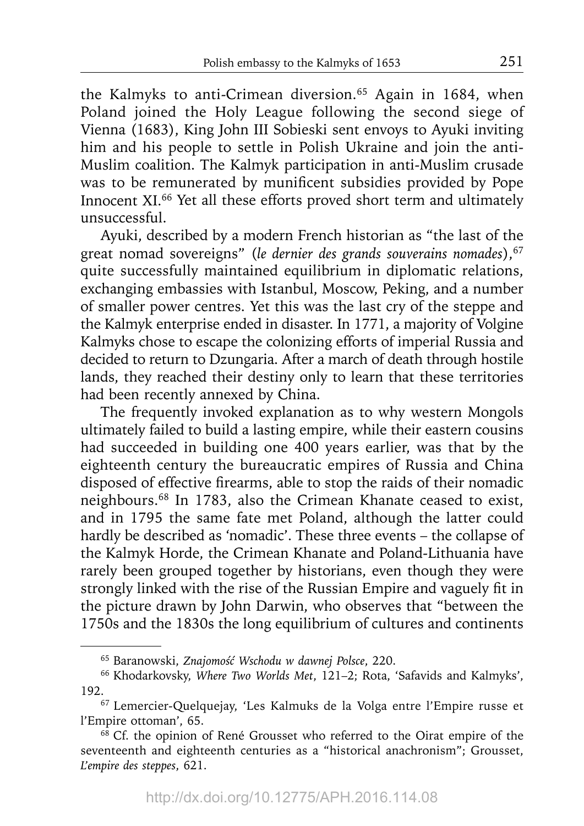the Kalmyks to anti-Crimean diversion.65 Again in 1684, when Poland joined the Holy League following the second siege of Vienna (1683), King John III Sobieski sent envoys to Ayuki inviting him and his people to settle in Polish Ukraine and join the anti-Muslim coalition. The Kalmyk participation in anti-Muslim crusade was to be remunerated by munificent subsidies provided by Pope Innocent XI.<sup>66</sup> Yet all these efforts proved short term and ultimately unsuccessful.

Ayuki, described by a modern French historian as "the last of the great nomad sovereigns" (le dernier des grands souverains nomades), 67 quite successfully maintained equilibrium in diplomatic relations, exchanging embassies with Istanbul, Moscow, Peking, and a number of smaller power centres. Yet this was the last cry of the steppe and the Kalmyk enterprise ended in disaster. In 1771, a majority of Volgine Kalmyks chose to escape the colonizing efforts of imperial Russia and decided to return to Dzungaria. After a march of death through hostile lands, they reached their destiny only to learn that these territories had been recently annexed by China.

The frequently invoked explanation as to why western Mongols ultimately failed to build a lasting empire, while their eastern cousins had succeeded in building one 400 years earlier, was that by the eighteenth century the bureaucratic empires of Russia and China disposed of effective firearms, able to stop the raids of their nomadic neighbours.68 In 1783, also the Crimean Khanate ceased to exist, and in 1795 the same fate met Poland, although the latter could hardly be described as 'nomadic'. These three events – the collapse of the Kalmyk Horde, the Crimean Khanate and Poland-Lithuania have rarely been grouped together by historians, even though they were strongly linked with the rise of the Russian Empire and vaguely fit in the picture drawn by John Darwin, who observes that "between the 1750s and the 1830s the long equilibrium of cultures and continents

<sup>65</sup> Baranowski, *Znajomość Wschodu w dawnej Polsce*, 220.

<sup>66</sup> Khodarkovsky, *Where Two Worlds Met*, 121–2; Rota, 'Safavids and Kalmyks',

<sup>192.&</sup>lt;br><sup>67</sup> Lemercier-Quelquejay, 'Les Kalmuks de la Volga entre l'Empire russe et l'Empire ottoman', 65.

 $68$  Cf. the opinion of René Grousset who referred to the Oirat empire of the seventeenth and eighteenth centuries as a "historical anachronism"; Grousset, *L'empire des steppes*, 621.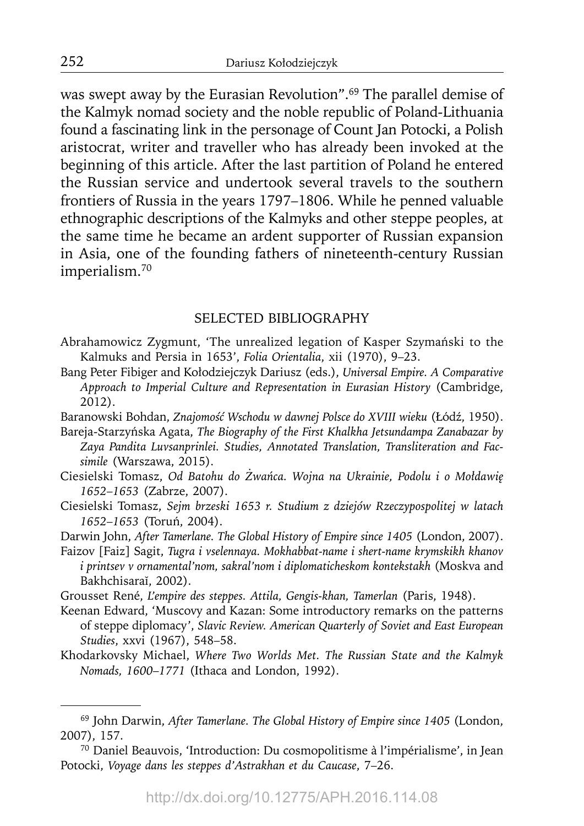was swept away by the Eurasian Revolution".69 The parallel demise of the Kalmyk nomad society and the noble republic of Poland-Lithuania found a fascinating link in the personage of Count Jan Potocki, a Polish aristocrat, writer and traveller who has already been invoked at the beginning of this article. After the last partition of Poland he entered the Russian service and undertook several travels to the southern frontiers of Russia in the years 1797–1806. While he penned valuable ethnographic descriptions of the Kalmyks and other steppe peoples, at the same time he became an ardent supporter of Russian expansion in Asia, one of the founding fathers of nineteenth-century Russian imperialism.70

#### SELECTED BIBLIOGRAPHY

- Abrahamowicz Zygmunt, 'The unrealized legation of Kasper Szymański to the Kalmuks and Persia in 1653', *Folia Orientalia*, xii (1970), 9–23.
- Bang Peter Fibiger and Kołodziejczyk Dariusz (eds.), *Universal Empire. A Comparative Approach to Imperial Culture and Representation in Eurasian History* (Cambridge, 2012).
- Baranowski Bohdan, *Znajomość Wschodu w dawnej Polsce do XVIII wieku* (Łódź, 1950).
- Bareja-Starzyńska Agata, *The Biography of the First Khalkha Jetsundampa Zanabazar by Zaya Pandita Luvsanprinlei. Studies, Annotated Translation, Transliteration and Facsimile* (Warszawa, 2015).
- Ciesielski Tomasz, *Od Batohu do Żwańca. Wojna na Ukrainie, Podolu i o Mołdawię 1652*–*1653* (Zabrze, 2007).
- Ciesielski Tomasz, *Sejm brzeski 1653 r. Studium z dziejów Rzeczypospolitej w latach 1652*–*1653* (Toruń, 2004).

Darwin John, *After Tamerlane. The Global History of Empire since 1405* (London, 2007).

- Faizov [Faiz] Sagit, *Tugra i vselennaya. Mokhabbat-name i shert-name krymskikh khanov i printsev v ornamental'nom, sakral'nom i diplomaticheskom kontekstakh* (Moskva and Bakhchisaraĭ, 2002).
- Grousset René, *L'empire des steppes. Attila, Gengis-khan, Tamerlan* (Paris, 1948).
- Keenan Edward, 'Muscovy and Kazan: Some introductory remarks on the patterns of steppe diplomacy', *Slavic Review. American Quarterly of Soviet and East European Studies*, xxvi (1967), 548–58.
- Khodarkovsky Michael, *Where Two Worlds Met. The Russian State and the Kalmyk Nomads, 1600*–*1771* (Ithaca and London, 1992).

<sup>69</sup> John Darwin, *After Tamerlane. The Global History of Empire since 1405* (London, 2007), 157.

<sup>70</sup> Daniel Beauvois, 'Introduction: Du cosmopolitisme à l'impérialisme', in Jean Potocki, *Voyage dans les steppes d'Astrakhan et du Caucase*, 7–26.